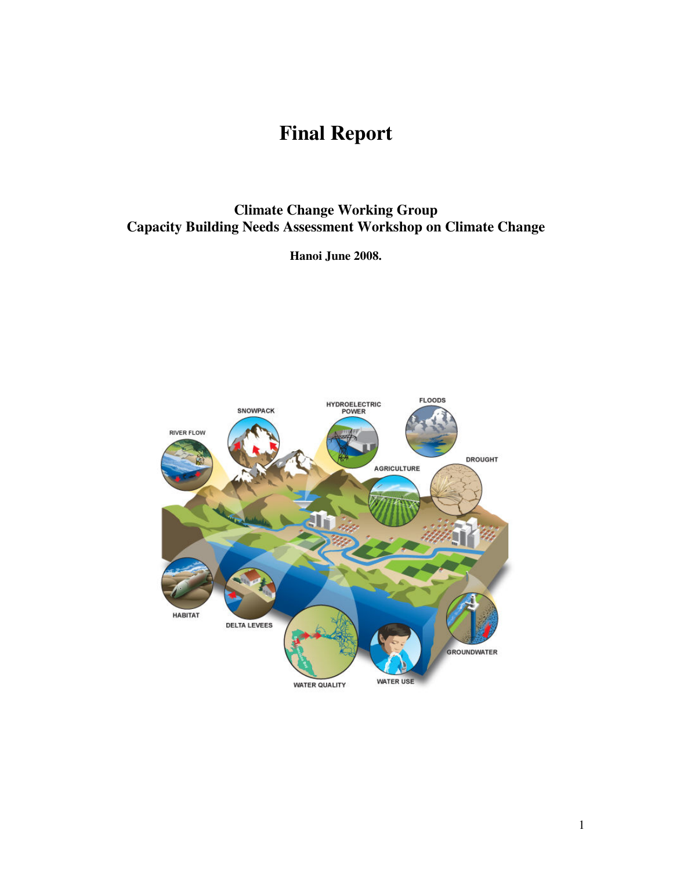# **Final Report**

# **Climate Change Working Group Capacity Building Needs Assessment Workshop on Climate Change**

**Hanoi June 2008.** 

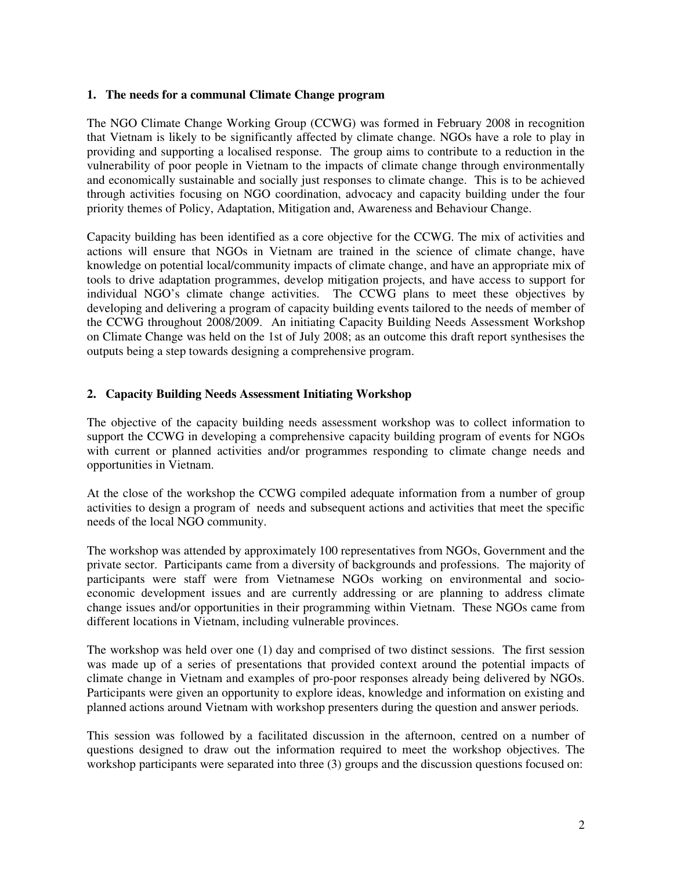#### **1. The needs for a communal Climate Change program**

The NGO Climate Change Working Group (CCWG) was formed in February 2008 in recognition that Vietnam is likely to be significantly affected by climate change. NGOs have a role to play in providing and supporting a localised response. The group aims to contribute to a reduction in the vulnerability of poor people in Vietnam to the impacts of climate change through environmentally and economically sustainable and socially just responses to climate change. This is to be achieved through activities focusing on NGO coordination, advocacy and capacity building under the four priority themes of Policy, Adaptation, Mitigation and, Awareness and Behaviour Change.

Capacity building has been identified as a core objective for the CCWG. The mix of activities and actions will ensure that NGOs in Vietnam are trained in the science of climate change, have knowledge on potential local/community impacts of climate change, and have an appropriate mix of tools to drive adaptation programmes, develop mitigation projects, and have access to support for individual NGO's climate change activities. The CCWG plans to meet these objectives by developing and delivering a program of capacity building events tailored to the needs of member of the CCWG throughout 2008/2009. An initiating Capacity Building Needs Assessment Workshop on Climate Change was held on the 1st of July 2008; as an outcome this draft report synthesises the outputs being a step towards designing a comprehensive program.

#### **2. Capacity Building Needs Assessment Initiating Workshop**

The objective of the capacity building needs assessment workshop was to collect information to support the CCWG in developing a comprehensive capacity building program of events for NGOs with current or planned activities and/or programmes responding to climate change needs and opportunities in Vietnam.

At the close of the workshop the CCWG compiled adequate information from a number of group activities to design a program of needs and subsequent actions and activities that meet the specific needs of the local NGO community.

The workshop was attended by approximately 100 representatives from NGOs, Government and the private sector. Participants came from a diversity of backgrounds and professions. The majority of participants were staff were from Vietnamese NGOs working on environmental and socioeconomic development issues and are currently addressing or are planning to address climate change issues and/or opportunities in their programming within Vietnam. These NGOs came from different locations in Vietnam, including vulnerable provinces.

The workshop was held over one (1) day and comprised of two distinct sessions. The first session was made up of a series of presentations that provided context around the potential impacts of climate change in Vietnam and examples of pro-poor responses already being delivered by NGOs. Participants were given an opportunity to explore ideas, knowledge and information on existing and planned actions around Vietnam with workshop presenters during the question and answer periods.

This session was followed by a facilitated discussion in the afternoon, centred on a number of questions designed to draw out the information required to meet the workshop objectives. The workshop participants were separated into three (3) groups and the discussion questions focused on: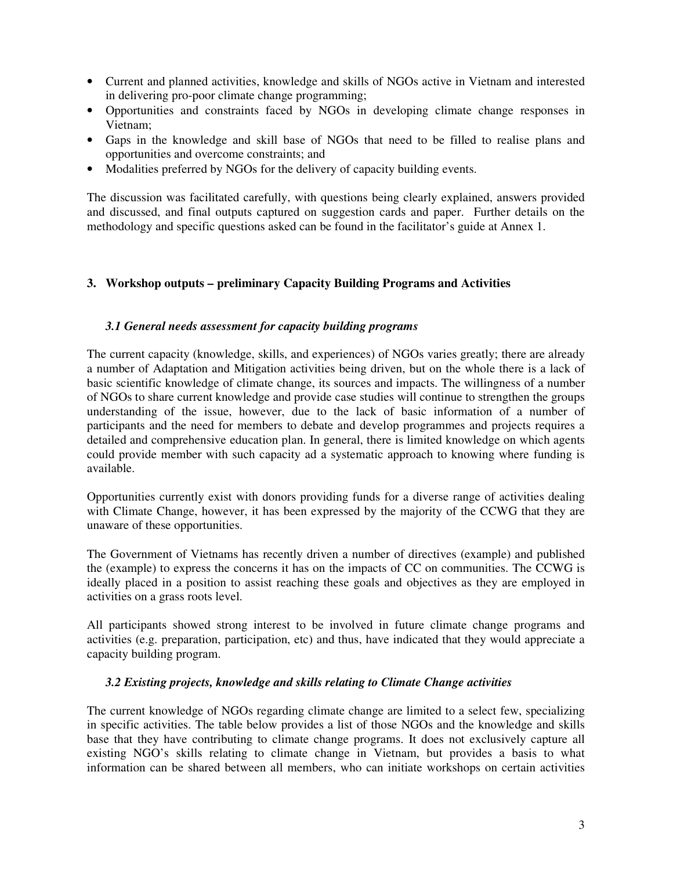- Current and planned activities, knowledge and skills of NGOs active in Vietnam and interested in delivering pro-poor climate change programming;
- Opportunities and constraints faced by NGOs in developing climate change responses in Vietnam;
- Gaps in the knowledge and skill base of NGOs that need to be filled to realise plans and opportunities and overcome constraints; and
- Modalities preferred by NGOs for the delivery of capacity building events.

The discussion was facilitated carefully, with questions being clearly explained, answers provided and discussed, and final outputs captured on suggestion cards and paper. Further details on the methodology and specific questions asked can be found in the facilitator's guide at Annex 1.

## **3. Workshop outputs – preliminary Capacity Building Programs and Activities**

#### *3.1 General needs assessment for capacity building programs*

The current capacity (knowledge, skills, and experiences) of NGOs varies greatly; there are already a number of Adaptation and Mitigation activities being driven, but on the whole there is a lack of basic scientific knowledge of climate change, its sources and impacts. The willingness of a number of NGOs to share current knowledge and provide case studies will continue to strengthen the groups understanding of the issue, however, due to the lack of basic information of a number of participants and the need for members to debate and develop programmes and projects requires a detailed and comprehensive education plan. In general, there is limited knowledge on which agents could provide member with such capacity ad a systematic approach to knowing where funding is available.

Opportunities currently exist with donors providing funds for a diverse range of activities dealing with Climate Change, however, it has been expressed by the majority of the CCWG that they are unaware of these opportunities.

The Government of Vietnams has recently driven a number of directives (example) and published the (example) to express the concerns it has on the impacts of CC on communities. The CCWG is ideally placed in a position to assist reaching these goals and objectives as they are employed in activities on a grass roots level.

All participants showed strong interest to be involved in future climate change programs and activities (e.g. preparation, participation, etc) and thus, have indicated that they would appreciate a capacity building program.

#### *3.2 Existing projects, knowledge and skills relating to Climate Change activities*

The current knowledge of NGOs regarding climate change are limited to a select few, specializing in specific activities. The table below provides a list of those NGOs and the knowledge and skills base that they have contributing to climate change programs. It does not exclusively capture all existing NGO's skills relating to climate change in Vietnam, but provides a basis to what information can be shared between all members, who can initiate workshops on certain activities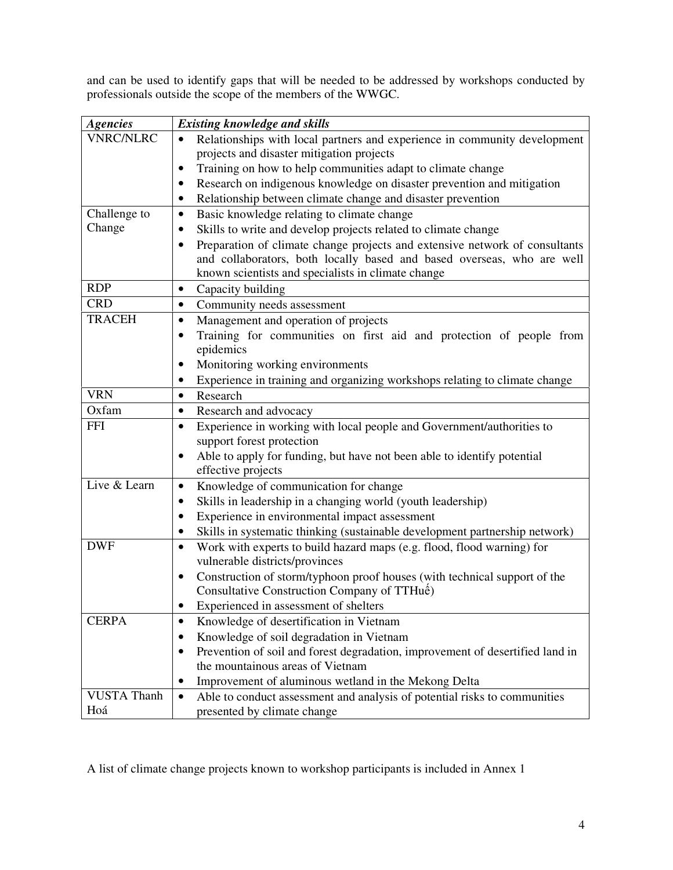and can be used to identify gaps that will be needed to be addressed by workshops conducted by professionals outside the scope of the members of the WWGC.

| <b>Agencies</b>    | <b>Existing knowledge and skills</b>                                                                                                                               |
|--------------------|--------------------------------------------------------------------------------------------------------------------------------------------------------------------|
| <b>VNRC/NLRC</b>   | Relationships with local partners and experience in community development<br>$\bullet$                                                                             |
|                    | projects and disaster mitigation projects                                                                                                                          |
|                    | Training on how to help communities adapt to climate change<br>٠                                                                                                   |
|                    | Research on indigenous knowledge on disaster prevention and mitigation                                                                                             |
|                    | Relationship between climate change and disaster prevention<br>$\bullet$                                                                                           |
| Challenge to       | Basic knowledge relating to climate change<br>$\bullet$                                                                                                            |
| Change             | Skills to write and develop projects related to climate change                                                                                                     |
|                    | Preparation of climate change projects and extensive network of consultants<br>$\bullet$<br>and collaborators, both locally based and based overseas, who are well |
|                    | known scientists and specialists in climate change                                                                                                                 |
| <b>RDP</b>         | Capacity building<br>$\bullet$                                                                                                                                     |
| <b>CRD</b>         | Community needs assessment<br>$\bullet$                                                                                                                            |
| <b>TRACEH</b>      | Management and operation of projects<br>$\bullet$                                                                                                                  |
|                    | Training for communities on first aid and protection of people from<br>$\bullet$<br>epidemics                                                                      |
|                    | Monitoring working environments<br>٠                                                                                                                               |
|                    | Experience in training and organizing workshops relating to climate change<br>٠                                                                                    |
| <b>VRN</b>         | Research<br>$\bullet$                                                                                                                                              |
| Oxfam              | Research and advocacy<br>$\bullet$                                                                                                                                 |
| <b>FFI</b>         | Experience in working with local people and Government/authorities to<br>$\bullet$                                                                                 |
|                    | support forest protection                                                                                                                                          |
|                    | Able to apply for funding, but have not been able to identify potential<br>$\bullet$<br>effective projects                                                         |
| Live & Learn       | Knowledge of communication for change<br>$\bullet$                                                                                                                 |
|                    | Skills in leadership in a changing world (youth leadership)<br>$\bullet$                                                                                           |
|                    | Experience in environmental impact assessment                                                                                                                      |
|                    | Skills in systematic thinking (sustainable development partnership network)                                                                                        |
| <b>DWF</b>         | Work with experts to build hazard maps (e.g. flood, flood warning) for<br>$\bullet$                                                                                |
|                    | vulnerable districts/provinces                                                                                                                                     |
|                    | Construction of storm/typhoon proof houses (with technical support of the<br>$\bullet$                                                                             |
|                    | Consultative Construction Company of TTHuế)                                                                                                                        |
|                    | Experienced in assessment of shelters                                                                                                                              |
| <b>CERPA</b>       | Knowledge of desertification in Vietnam<br>$\bullet$                                                                                                               |
|                    | Knowledge of soil degradation in Vietnam<br>٠                                                                                                                      |
|                    | Prevention of soil and forest degradation, improvement of desertified land in<br>$\bullet$                                                                         |
|                    | the mountainous areas of Vietnam                                                                                                                                   |
|                    | Improvement of aluminous wetland in the Mekong Delta<br>٠                                                                                                          |
| <b>VUSTA Thanh</b> | Able to conduct assessment and analysis of potential risks to communities<br>$\bullet$                                                                             |
| Hoá                | presented by climate change                                                                                                                                        |

A list of climate change projects known to workshop participants is included in Annex 1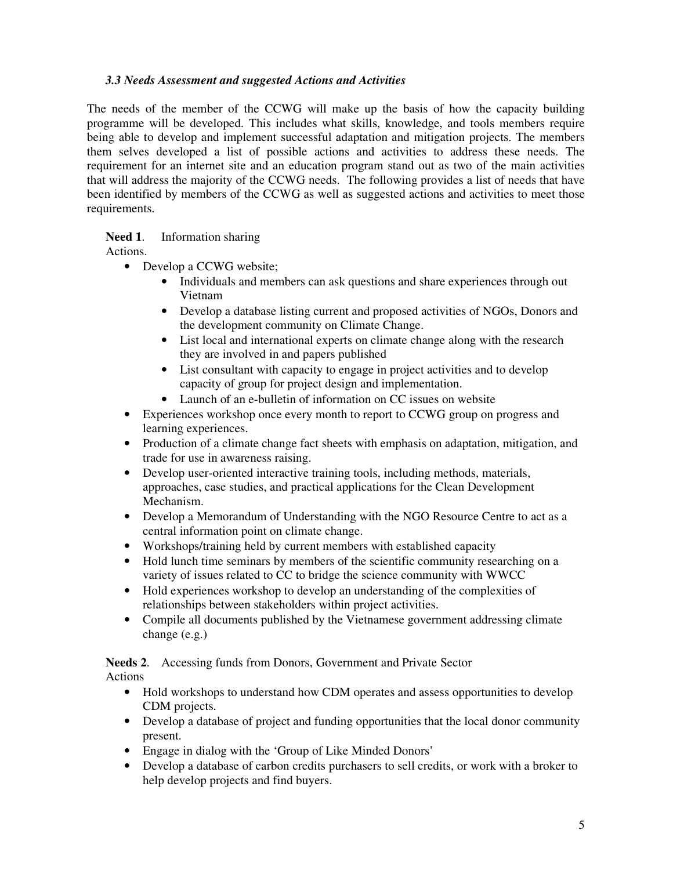## *3.3 Needs Assessment and suggested Actions and Activities*

The needs of the member of the CCWG will make up the basis of how the capacity building programme will be developed. This includes what skills, knowledge, and tools members require being able to develop and implement successful adaptation and mitigation projects. The members them selves developed a list of possible actions and activities to address these needs. The requirement for an internet site and an education program stand out as two of the main activities that will address the majority of the CCWG needs. The following provides a list of needs that have been identified by members of the CCWG as well as suggested actions and activities to meet those requirements.

## **Need 1**. Information sharing

Actions.

- Develop a CCWG website;
	- Individuals and members can ask questions and share experiences through out Vietnam
	- Develop a database listing current and proposed activities of NGOs, Donors and the development community on Climate Change.
	- List local and international experts on climate change along with the research they are involved in and papers published
	- List consultant with capacity to engage in project activities and to develop capacity of group for project design and implementation.
	- Launch of an e-bulletin of information on CC issues on website
- Experiences workshop once every month to report to CCWG group on progress and learning experiences.
- Production of a climate change fact sheets with emphasis on adaptation, mitigation, and trade for use in awareness raising.
- Develop user-oriented interactive training tools, including methods, materials, approaches, case studies, and practical applications for the Clean Development Mechanism.
- Develop a Memorandum of Understanding with the NGO Resource Centre to act as a central information point on climate change.
- Workshops/training held by current members with established capacity
- Hold lunch time seminars by members of the scientific community researching on a variety of issues related to CC to bridge the science community with WWCC
- Hold experiences workshop to develop an understanding of the complexities of relationships between stakeholders within project activities.
- Compile all documents published by the Vietnamese government addressing climate change (e.g.)

**Needs 2**. Accessing funds from Donors, Government and Private Sector Actions

- Hold workshops to understand how CDM operates and assess opportunities to develop CDM projects.
- Develop a database of project and funding opportunities that the local donor community present.
- Engage in dialog with the 'Group of Like Minded Donors'
- Develop a database of carbon credits purchasers to sell credits, or work with a broker to help develop projects and find buyers.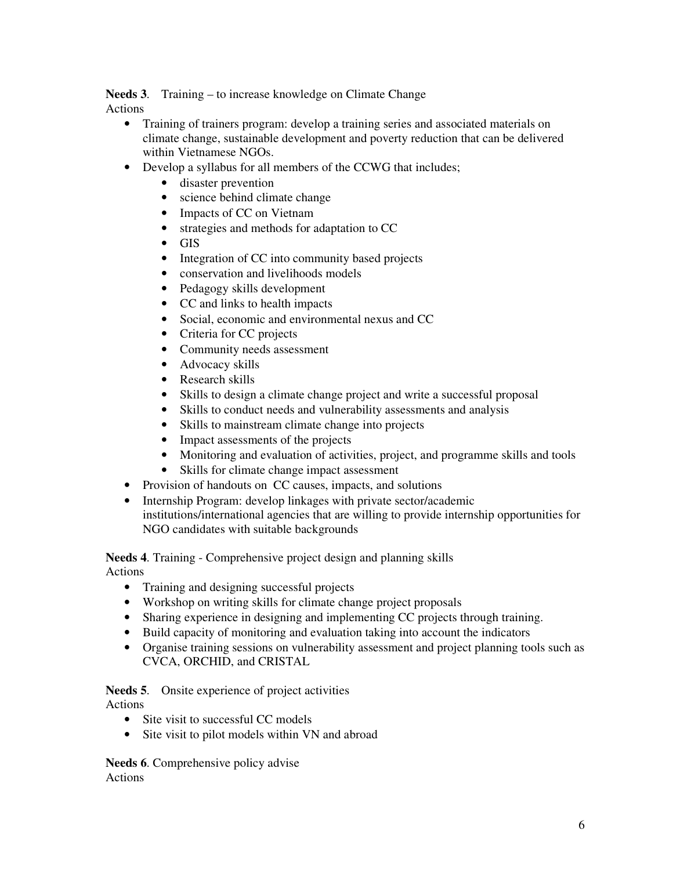**Needs 3**. Training – to increase knowledge on Climate Change Actions

- Training of trainers program: develop a training series and associated materials on climate change, sustainable development and poverty reduction that can be delivered within Vietnamese NGOs.
- Develop a syllabus for all members of the CCWG that includes;
	- disaster prevention
	- science behind climate change
	- Impacts of CC on Vietnam
	- strategies and methods for adaptation to CC
	- GIS
	- Integration of CC into community based projects
	- conservation and livelihoods models
	- Pedagogy skills development
	- CC and links to health impacts
	- Social, economic and environmental nexus and CC
	- Criteria for CC projects
	- Community needs assessment
	- Advocacy skills
	- Research skills
	- Skills to design a climate change project and write a successful proposal
	- Skills to conduct needs and vulnerability assessments and analysis
	- Skills to mainstream climate change into projects
	- Impact assessments of the projects
	- Monitoring and evaluation of activities, project, and programme skills and tools
	- Skills for climate change impact assessment
- Provision of handouts on CC causes, impacts, and solutions
- Internship Program: develop linkages with private sector/academic institutions/international agencies that are willing to provide internship opportunities for NGO candidates with suitable backgrounds

**Needs 4**. Training - Comprehensive project design and planning skills Actions

- Training and designing successful projects
- Workshop on writing skills for climate change project proposals
- Sharing experience in designing and implementing CC projects through training.
- Build capacity of monitoring and evaluation taking into account the indicators
- Organise training sessions on vulnerability assessment and project planning tools such as CVCA, ORCHID, and CRISTAL

**Needs 5**. Onsite experience of project activities Actions

- Site visit to successful CC models
- Site visit to pilot models within VN and abroad

**Needs 6**. Comprehensive policy advise Actions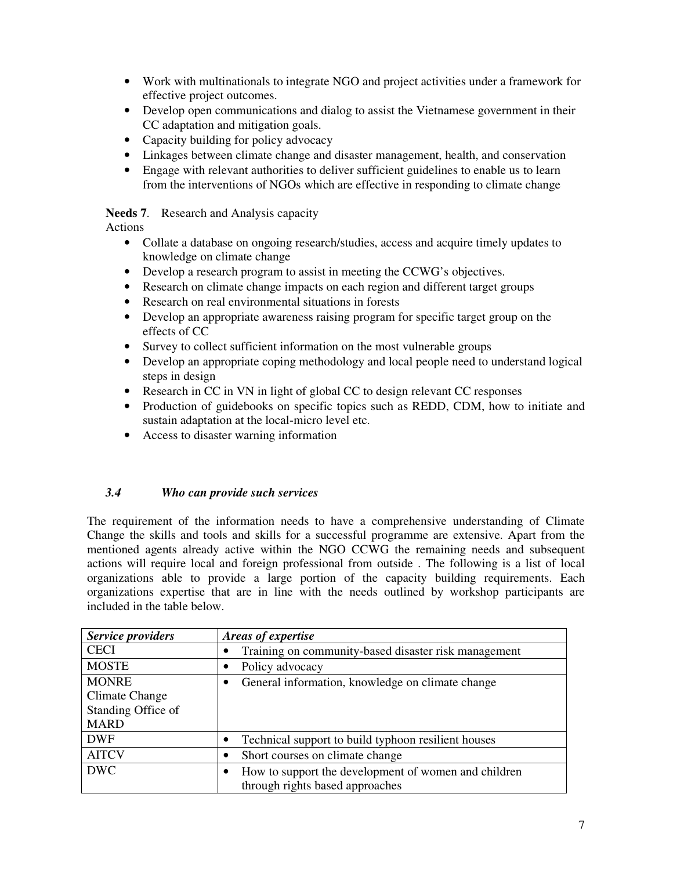- Work with multinationals to integrate NGO and project activities under a framework for effective project outcomes.
- Develop open communications and dialog to assist the Vietnamese government in their CC adaptation and mitigation goals.
- Capacity building for policy advocacy
- Linkages between climate change and disaster management, health, and conservation
- Engage with relevant authorities to deliver sufficient guidelines to enable us to learn from the interventions of NGOs which are effective in responding to climate change

#### **Needs 7**. Research and Analysis capacity

Actions

- Collate a database on ongoing research/studies, access and acquire timely updates to knowledge on climate change
- Develop a research program to assist in meeting the CCWG's objectives.
- Research on climate change impacts on each region and different target groups
- Research on real environmental situations in forests
- Develop an appropriate awareness raising program for specific target group on the effects of CC
- Survey to collect sufficient information on the most vulnerable groups
- Develop an appropriate coping methodology and local people need to understand logical steps in design
- Research in CC in VN in light of global CC to design relevant CC responses
- Production of guidebooks on specific topics such as REDD, CDM, how to initiate and sustain adaptation at the local-micro level etc.
- Access to disaster warning information

## *3.4 Who can provide such services*

The requirement of the information needs to have a comprehensive understanding of Climate Change the skills and tools and skills for a successful programme are extensive. Apart from the mentioned agents already active within the NGO CCWG the remaining needs and subsequent actions will require local and foreign professional from outside . The following is a list of local organizations able to provide a large portion of the capacity building requirements. Each organizations expertise that are in line with the needs outlined by workshop participants are included in the table below.

| <b>Service providers</b> | Areas of expertise                                        |
|--------------------------|-----------------------------------------------------------|
| <b>CECI</b>              | Training on community-based disaster risk management<br>٠ |
| <b>MOSTE</b>             | Policy advocacy                                           |
| <b>MONRE</b>             | General information, knowledge on climate change          |
| Climate Change           |                                                           |
| Standing Office of       |                                                           |
| <b>MARD</b>              |                                                           |
| <b>DWF</b>               | Technical support to build typhoon resilient houses       |
| <b>AITCV</b>             | Short courses on climate change                           |
| <b>DWC</b>               | How to support the development of women and children      |
|                          | through rights based approaches                           |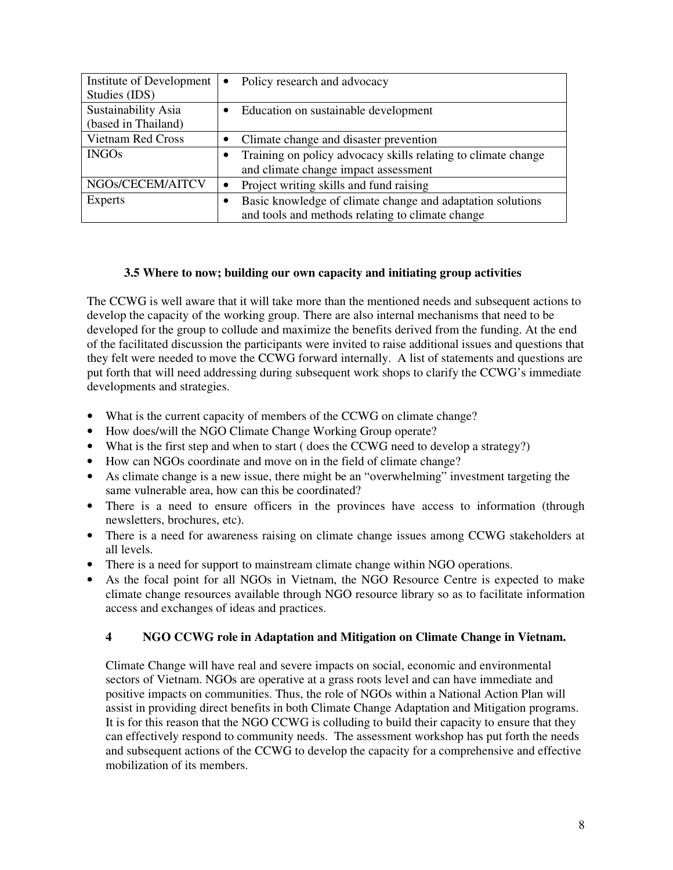| Institute of Development<br>Studies (IDS)  | $\bullet$ | Policy research and advocacy                                                                                   |
|--------------------------------------------|-----------|----------------------------------------------------------------------------------------------------------------|
| Sustainability Asia<br>(based in Thailand) |           | Education on sustainable development                                                                           |
| <b>Vietnam Red Cross</b>                   |           | Climate change and disaster prevention                                                                         |
| <b>INGOs</b>                               |           | Training on policy advocacy skills relating to climate change<br>and climate change impact assessment          |
| NGOs/CECEM/AITCV                           |           | Project writing skills and fund raising                                                                        |
| Experts                                    |           | Basic knowledge of climate change and adaptation solutions<br>and tools and methods relating to climate change |

## **3.5 Where to now; building our own capacity and initiating group activities**

The CCWG is well aware that it will take more than the mentioned needs and subsequent actions to develop the capacity of the working group. There are also internal mechanisms that need to be developed for the group to collude and maximize the benefits derived from the funding. At the end of the facilitated discussion the participants were invited to raise additional issues and questions that they felt were needed to move the CCWG forward internally. A list of statements and questions are put forth that will need addressing during subsequent work shops to clarify the CCWG's immediate developments and strategies.

- What is the current capacity of members of the CCWG on climate change?
- How does/will the NGO Climate Change Working Group operate?
- What is the first step and when to start (does the CCWG need to develop a strategy?)
- How can NGOs coordinate and move on in the field of climate change?
- As climate change is a new issue, there might be an "overwhelming" investment targeting the same vulnerable area, how can this be coordinated?
- There is a need to ensure officers in the provinces have access to information (through newsletters, brochures, etc).
- There is a need for awareness raising on climate change issues among CCWG stakeholders at all levels.
- There is a need for support to mainstream climate change within NGO operations.
- As the focal point for all NGOs in Vietnam, the NGO Resource Centre is expected to make climate change resources available through NGO resource library so as to facilitate information access and exchanges of ideas and practices.

## **4 NGO CCWG role in Adaptation and Mitigation on Climate Change in Vietnam.**

Climate Change will have real and severe impacts on social, economic and environmental sectors of Vietnam. NGOs are operative at a grass roots level and can have immediate and positive impacts on communities. Thus, the role of NGOs within a National Action Plan will assist in providing direct benefits in both Climate Change Adaptation and Mitigation programs. It is for this reason that the NGO CCWG is colluding to build their capacity to ensure that they can effectively respond to community needs. The assessment workshop has put forth the needs and subsequent actions of the CCWG to develop the capacity for a comprehensive and effective mobilization of its members.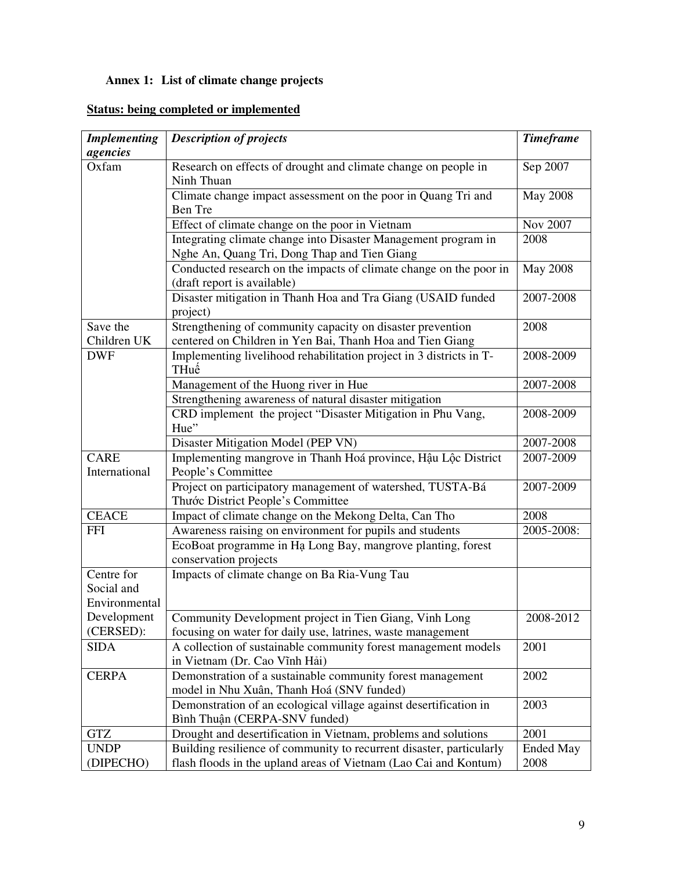# **Annex 1: List of climate change projects**

|  |  | <b>Status: being completed or implemented</b> |
|--|--|-----------------------------------------------|

| <b>Implementing</b> | <b>Description of projects</b>                                       | <b>Timeframe</b> |
|---------------------|----------------------------------------------------------------------|------------------|
| agencies            |                                                                      |                  |
| Oxfam               | Research on effects of drought and climate change on people in       | Sep 2007         |
|                     | Ninh Thuan                                                           |                  |
|                     | Climate change impact assessment on the poor in Quang Tri and        | <b>May 2008</b>  |
|                     | Ben Tre                                                              |                  |
|                     | Effect of climate change on the poor in Vietnam                      | Nov 2007         |
|                     | Integrating climate change into Disaster Management program in       | 2008             |
|                     | Nghe An, Quang Tri, Dong Thap and Tien Giang                         |                  |
|                     | Conducted research on the impacts of climate change on the poor in   | <b>May 2008</b>  |
|                     | (draft report is available)                                          |                  |
|                     | Disaster mitigation in Thanh Hoa and Tra Giang (USAID funded         | 2007-2008        |
|                     | project)                                                             |                  |
| Save the            | Strengthening of community capacity on disaster prevention           | 2008             |
| Children UK         | centered on Children in Yen Bai, Thanh Hoa and Tien Giang            |                  |
| <b>DWF</b>          | Implementing livelihood rehabilitation project in 3 districts in T-  | 2008-2009        |
|                     | THuế                                                                 |                  |
|                     | Management of the Huong river in Hue                                 | 2007-2008        |
|                     | Strengthening awareness of natural disaster mitigation               |                  |
|                     | CRD implement the project "Disaster Mitigation in Phu Vang,          | 2008-2009        |
|                     | Hue"                                                                 |                  |
|                     | Disaster Mitigation Model (PEP VN)                                   | 2007-2008        |
| <b>CARE</b>         | Implementing mangrove in Thanh Hoá province, Hậu Lộc District        | 2007-2009        |
| International       | People's Committee                                                   |                  |
|                     | Project on participatory management of watershed, TUSTA-Bá           | 2007-2009        |
|                     | Thước District People's Committee                                    |                  |
| <b>CEACE</b>        | Impact of climate change on the Mekong Delta, Can Tho                | 2008             |
| <b>FFI</b>          | Awareness raising on environment for pupils and students             | 2005-2008:       |
|                     | EcoBoat programme in Ha Long Bay, mangrove planting, forest          |                  |
|                     | conservation projects                                                |                  |
| Centre for          | Impacts of climate change on Ba Ria-Vung Tau                         |                  |
| Social and          |                                                                      |                  |
| Environmental       |                                                                      |                  |
| Development         | Community Development project in Tien Giang, Vinh Long               | 2008-2012        |
| (CERSED):           | focusing on water for daily use, latrines, waste management          |                  |
| <b>SIDA</b>         | A collection of sustainable community forest management models       | 2001             |
|                     | in Vietnam (Dr. Cao Vĩnh Hải)                                        |                  |
| <b>CERPA</b>        | Demonstration of a sustainable community forest management           | 2002             |
|                     | model in Nhu Xuân, Thanh Hoá (SNV funded)                            |                  |
|                     | Demonstration of an ecological village against desertification in    | 2003             |
|                     | Bình Thuận (CERPA-SNV funded)                                        |                  |
| <b>GTZ</b>          | Drought and desertification in Vietnam, problems and solutions       | 2001             |
| <b>UNDP</b>         | Building resilience of community to recurrent disaster, particularly | <b>Ended May</b> |
| (DIPECHO)           | flash floods in the upland areas of Vietnam (Lao Cai and Kontum)     | 2008             |